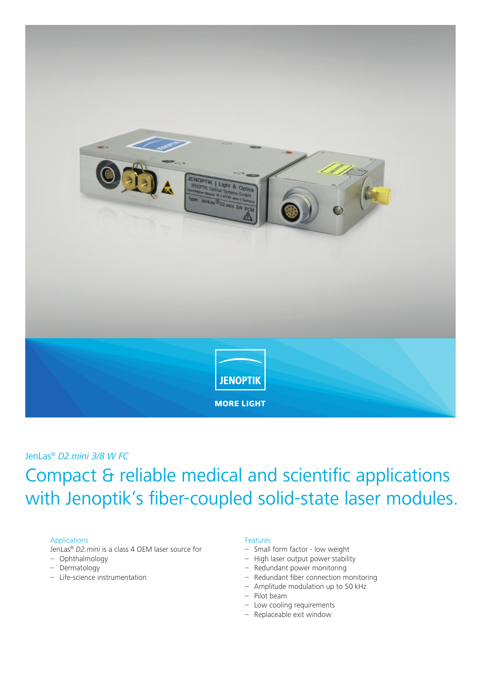

### JenLas® *D2.mini 3/8 W FC*

# Compact & reliable medical and scientific applications with Jenoptik's fiber-coupled solid-state laser modules.

#### Applications

JenLas® *D2.mini* is a class 4 OEM laser source for

- Ophthalmology
- Dermatology
- Life-science instrumentation

#### Features

- Small form factor low weight
- High laser output power stability
- Redundant power monitoring
- Redundant fiber connection monitoring
- Amplitude modulation up to 50 kHz
- Pilot beam
- Low cooling requirements
- Replaceable exit window